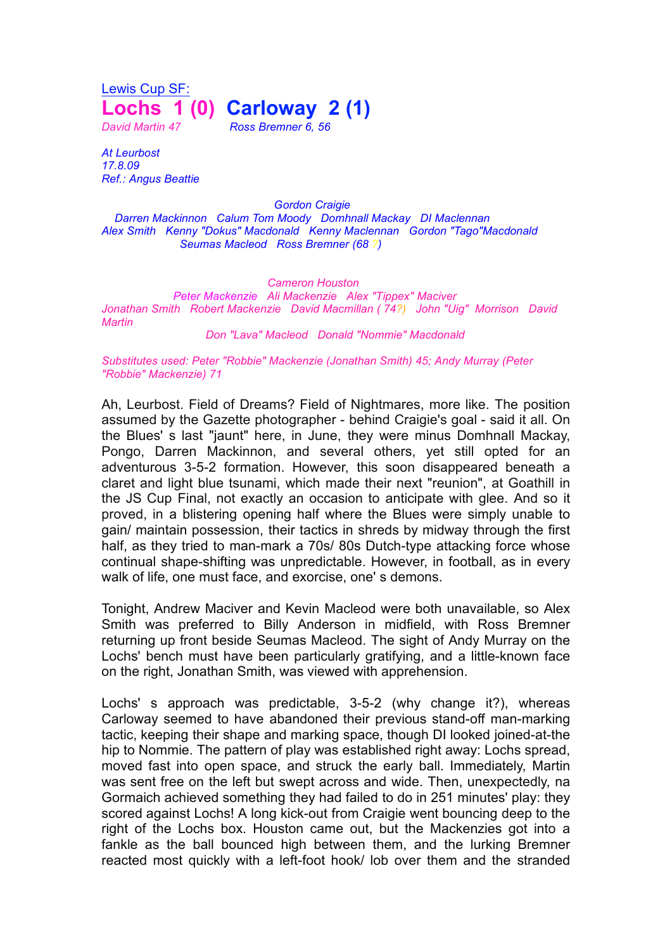Lewis Cup SF: **Lochs 1 (0) Carloway 2 (1)** *David Martin 47 Ross Bremner 6, 56*

*At Leurbost 17.8.09 Ref.: Angus Beattie*

*Gordon Craigie*

*Darren Mackinnon Calum Tom Moody Domhnall Mackay DI Maclennan Alex Smith Kenny "Dokus" Macdonald Kenny Maclennan Gordon "Tago"Macdonald Seumas Macleod Ross Bremner (68 ?)*

*Cameron Houston*

*Peter Mackenzie Ali Mackenzie Alex "Tippex" Maciver Jonathan Smith Robert Mackenzie David Macmillan ( 74?) John "Uig" Morrison David Martin*

*Don "Lava" Macleod Donald "Nommie" Macdonald*

*Substitutes used: Peter "Robbie" Mackenzie (Jonathan Smith) 45; Andy Murray (Peter "Robbie" Mackenzie) 71*

Ah, Leurbost. Field of Dreams? Field of Nightmares, more like. The position assumed by the Gazette photographer - behind Craigie's goal - said it all. On the Blues' s last "jaunt" here, in June, they were minus Domhnall Mackay, Pongo, Darren Mackinnon, and several others, yet still opted for an adventurous 3-5-2 formation. However, this soon disappeared beneath a claret and light blue tsunami, which made their next "reunion", at Goathill in the JS Cup Final, not exactly an occasion to anticipate with glee. And so it proved, in a blistering opening half where the Blues were simply unable to gain/ maintain possession, their tactics in shreds by midway through the first half, as they tried to man-mark a 70s/ 80s Dutch-type attacking force whose continual shape-shifting was unpredictable. However, in football, as in every walk of life, one must face, and exorcise, one' s demons.

Tonight, Andrew Maciver and Kevin Macleod were both unavailable, so Alex Smith was preferred to Billy Anderson in midfield, with Ross Bremner returning up front beside Seumas Macleod. The sight of Andy Murray on the Lochs' bench must have been particularly gratifying, and a little-known face on the right, Jonathan Smith, was viewed with apprehension.

Lochs' s approach was predictable, 3-5-2 (why change it?), whereas Carloway seemed to have abandoned their previous stand-off man-marking tactic, keeping their shape and marking space, though DI looked joined-at-the hip to Nommie. The pattern of play was established right away: Lochs spread, moved fast into open space, and struck the early ball. Immediately, Martin was sent free on the left but swept across and wide. Then, unexpectedly, na Gormaich achieved something they had failed to do in 251 minutes' play: they scored against Lochs! A long kick-out from Craigie went bouncing deep to the right of the Lochs box. Houston came out, but the Mackenzies got into a fankle as the ball bounced high between them, and the lurking Bremner reacted most quickly with a left-foot hook/ lob over them and the stranded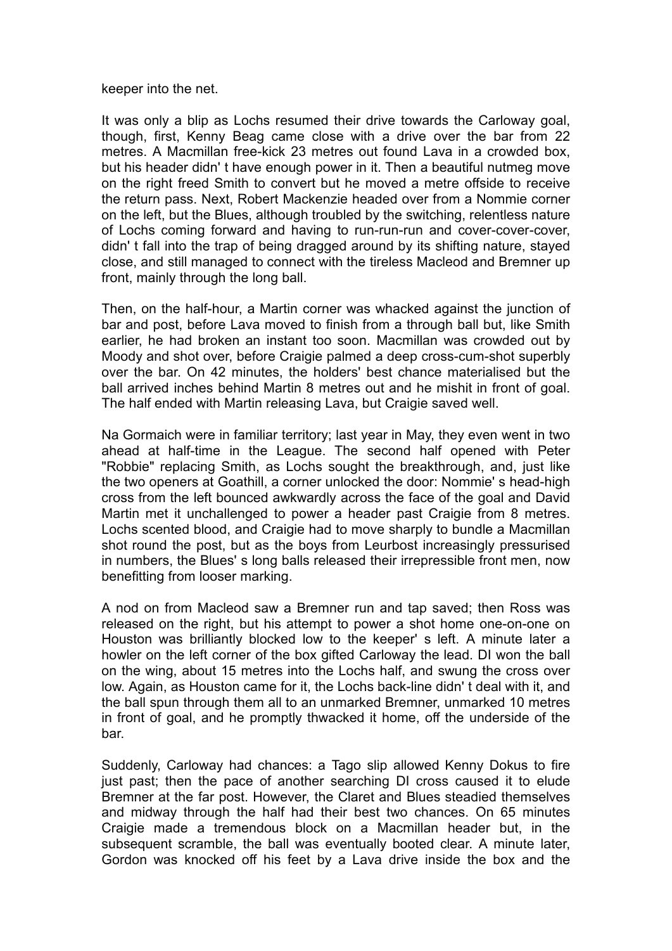keeper into the net.

It was only a blip as Lochs resumed their drive towards the Carloway goal, though, first, Kenny Beag came close with a drive over the bar from 22 metres. A Macmillan free-kick 23 metres out found Lava in a crowded box, but his header didn' t have enough power in it. Then a beautiful nutmeg move on the right freed Smith to convert but he moved a metre offside to receive the return pass. Next, Robert Mackenzie headed over from a Nommie corner on the left, but the Blues, although troubled by the switching, relentless nature of Lochs coming forward and having to run-run-run and cover-cover-cover, didn' t fall into the trap of being dragged around by its shifting nature, stayed close, and still managed to connect with the tireless Macleod and Bremner up front, mainly through the long ball.

Then, on the half-hour, a Martin corner was whacked against the junction of bar and post, before Lava moved to finish from a through ball but, like Smith earlier, he had broken an instant too soon. Macmillan was crowded out by Moody and shot over, before Craigie palmed a deep cross-cum-shot superbly over the bar. On 42 minutes, the holders' best chance materialised but the ball arrived inches behind Martin 8 metres out and he mishit in front of goal. The half ended with Martin releasing Lava, but Craigie saved well.

Na Gormaich were in familiar territory; last year in May, they even went in two ahead at half-time in the League. The second half opened with Peter "Robbie" replacing Smith, as Lochs sought the breakthrough, and, just like the two openers at Goathill, a corner unlocked the door: Nommie' s head-high cross from the left bounced awkwardly across the face of the goal and David Martin met it unchallenged to power a header past Craigie from 8 metres. Lochs scented blood, and Craigie had to move sharply to bundle a Macmillan shot round the post, but as the boys from Leurbost increasingly pressurised in numbers, the Blues' s long balls released their irrepressible front men, now benefitting from looser marking.

A nod on from Macleod saw a Bremner run and tap saved; then Ross was released on the right, but his attempt to power a shot home one-on-one on Houston was brilliantly blocked low to the keeper' s left. A minute later a howler on the left corner of the box gifted Carloway the lead. DI won the ball on the wing, about 15 metres into the Lochs half, and swung the cross over low. Again, as Houston came for it, the Lochs back-line didn' t deal with it, and the ball spun through them all to an unmarked Bremner, unmarked 10 metres in front of goal, and he promptly thwacked it home, off the underside of the bar.

Suddenly, Carloway had chances: a Tago slip allowed Kenny Dokus to fire just past; then the pace of another searching DI cross caused it to elude Bremner at the far post. However, the Claret and Blues steadied themselves and midway through the half had their best two chances. On 65 minutes Craigie made a tremendous block on a Macmillan header but, in the subsequent scramble, the ball was eventually booted clear. A minute later, Gordon was knocked off his feet by a Lava drive inside the box and the